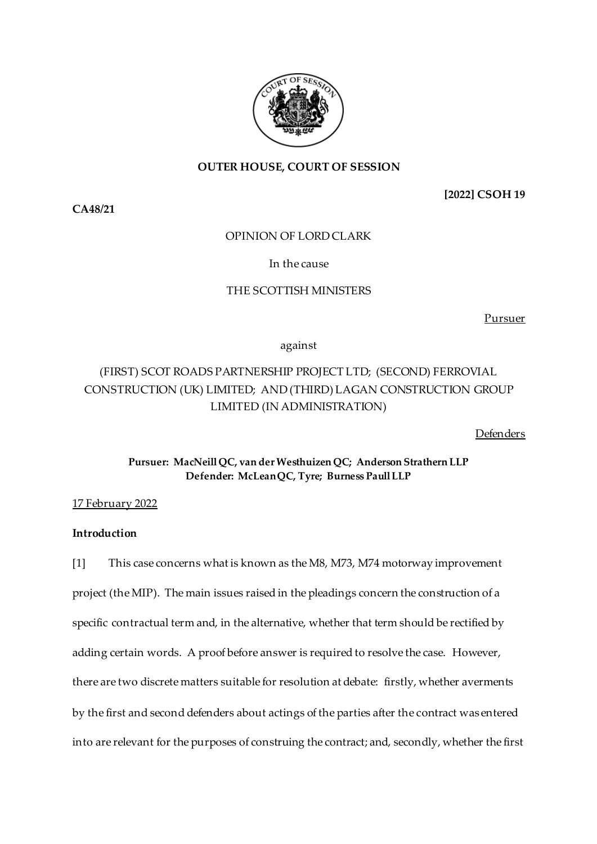

# **OUTER HOUSE, COURT OF SESSION**

**[2022] CSOH 19**

# OPINION OF LORD CLARK

# In the cause

# THE SCOTTISH MINISTERS

Pursuer

against

# (FIRST) SCOT ROADS PARTNERSHIP PROJECT LTD; (SECOND) FERROVIAL CONSTRUCTION (UK) LIMITED; AND (THIRD) LAGAN CONSTRUCTION GROUP LIMITED (IN ADMINISTRATION)

Defenders

**Pursuer: MacNeill QC, van der Westhuizen QC; Anderson Strathern LLP Defender: McLean QC, Tyre; Burness Paull LLP**

# 17 February 2022

# **Introduction**

[1] This case concerns what is known as the M8, M73, M74 motorway improvement project (the MIP). The main issues raised in the pleadings concern the construction of a specific contractual term and, in the alternative, whether that term should be rectified by adding certain words. A proof before answer is required to resolve the case. However, there are two discrete matters suitable for resolution at debate: firstly, whether averments by the first and second defenders about actings of the parties after the contract was entered into are relevant for the purposes of construing the contract; and, secondly, whether the first

**CA48/21**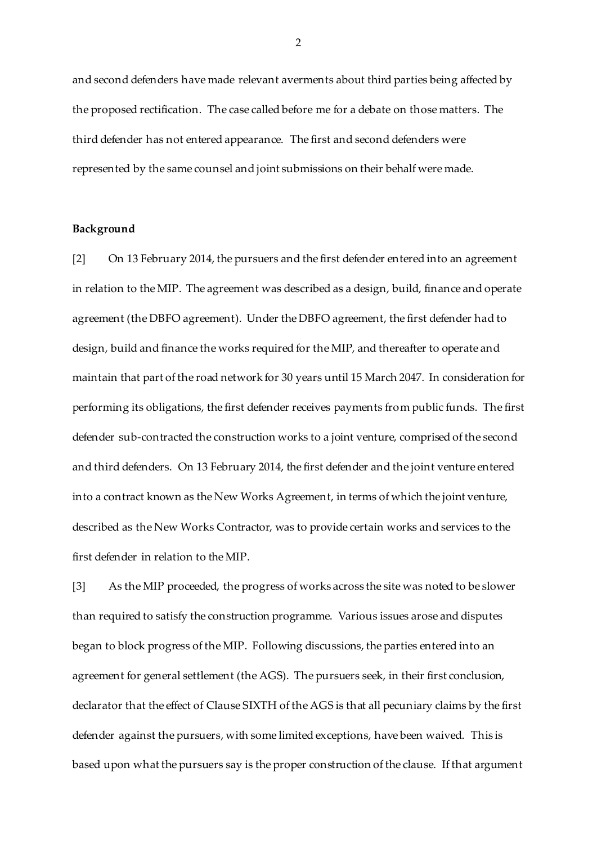and second defenders have made relevant averments about third parties being affected by the proposed rectification. The case called before me for a debate on those matters. The third defender has not entered appearance. The first and second defenders were represented by the same counsel and joint submissions on their behalf were made.

# **Background**

[2] On 13 February 2014, the pursuers and the first defender entered into an agreement in relation to the MIP. The agreement was described as a design, build, finance and operate agreement (the DBFO agreement). Under the DBFO agreement, the first defender had to design, build and finance the works required for the MIP, and thereafter to operate and maintain that part of the road network for 30 years until 15 March 2047. In consideration for performing its obligations, the first defender receives payments from public funds. The first defender sub-contracted the construction works to a joint venture, comprised of the second and third defenders. On 13 February 2014, the first defender and the joint venture entered into a contract known as the New Works Agreement, in terms of which the joint venture, described as the New Works Contractor, was to provide certain works and services to the first defender in relation to the MIP.

[3] As the MIP proceeded, the progress of works across the site was noted to be slower than required to satisfy the construction programme. Various issues arose and disputes began to block progress of the MIP. Following discussions, the parties entered into an agreement for general settlement (the AGS). The pursuers seek, in their first conclusion, declarator that the effect of Clause SIXTH of the AGS is that all pecuniary claims by the first defender against the pursuers, with some limited exceptions, have been waived. This is based upon what the pursuers say is the proper construction of the clause. If that argument

 $\mathfrak{D}$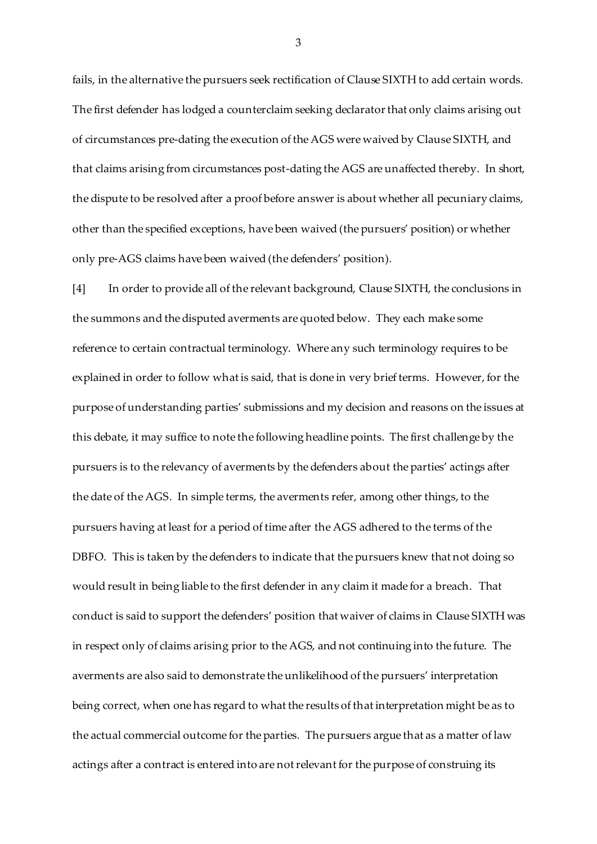fails, in the alternative the pursuers seek rectification of Clause SIXTH to add certain words. The first defender has lodged a counterclaim seeking declarator that only claims arising out of circumstances pre-dating the execution of the AGS were waived by Clause SIXTH, and that claims arising from circumstances post-dating the AGS are unaffected thereby. In short, the dispute to be resolved after a proof before answer is about whether all pecuniary claims, other than the specified exceptions, have been waived (the pursuers' position) or whether only pre-AGS claims have been waived (the defenders' position).

[4] In order to provide all of the relevant background, Clause SIXTH, the conclusions in the summons and the disputed averments are quoted below. They each make some reference to certain contractual terminology. Where any such terminology requires to be explained in order to follow what is said, that is done in very brief terms. However, for the purpose of understanding parties' submissions and my decision and reasons on the issues at this debate, it may suffice to note the following headline points. The first challenge by the pursuers is to the relevancy of averments by the defenders about the parties' actings after the date of the AGS. In simple terms, the averments refer, among other things, to the pursuers having at least for a period of time after the AGS adhered to the terms of the DBFO. This is taken by the defenders to indicate that the pursuers knew that not doing so would result in being liable to the first defender in any claim it made for a breach. That conduct is said to support the defenders' position that waiver of claims in Clause SIXTH was in respect only of claims arising prior to the AGS, and not continuing into the future. The averments are also said to demonstrate the unlikelihood of the pursuers' interpretation being correct, when one has regard to what the results of that interpretation might be as to the actual commercial outcome for the parties. The pursuers argue that as a matter of law actings after a contract is entered into are not relevant for the purpose of construing its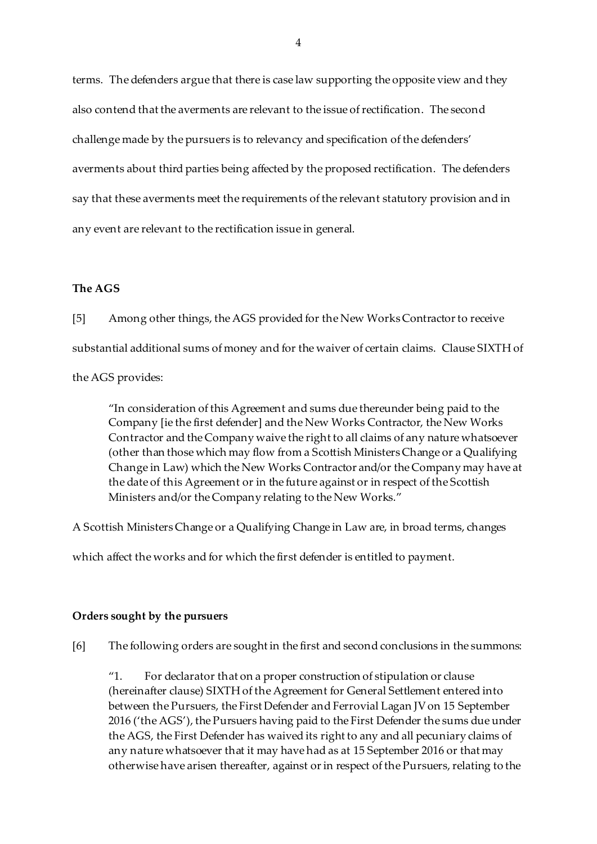terms. The defenders argue that there is case law supporting the opposite view and they also contend that the averments are relevant to the issue of rectification. The second challenge made by the pursuers is to relevancy and specification of the defenders' averments about third parties being affected by the proposed rectification. The defenders say that these averments meet the requirements of the relevant statutory provision and in any event are relevant to the rectification issue in general.

# **The AGS**

[5] Among other things, the AGS provided for the New Works Contractor to receive substantial additional sums of money and for the waiver of certain claims. Clause SIXTH of

the AGS provides:

"In consideration of this Agreement and sums due thereunder being paid to the Company [ie the first defender] and the New Works Contractor, the New Works Contractor and the Company waive the right to all claims of any nature whatsoever (other than those which may flow from a Scottish Ministers Change or a Qualifying Change in Law) which the New Works Contractor and/or the Company may have at the date of this Agreement or in the future against or in respect of the Scottish Ministers and/or the Company relating to the New Works."

A Scottish Ministers Change or a Qualifying Change in Law are, in broad terms, changes

which affect the works and for which the first defender is entitled to payment.

### **Orders sought by the pursuers**

[6] The following orders are sought in the first and second conclusions in the summons:

"1. For declarator that on a proper construction of stipulation or clause (hereinafter clause) SIXTH of the Agreement for General Settlement entered into between the Pursuers, the First Defender and Ferrovial Lagan JV on 15 September 2016 ('the AGS'), the Pursuers having paid to the First Defender the sums due under the AGS, the First Defender has waived its right to any and all pecuniary claims of any nature whatsoever that it may have had as at 15 September 2016 or that may otherwise have arisen thereafter, against or in respect of the Pursuers, relating to the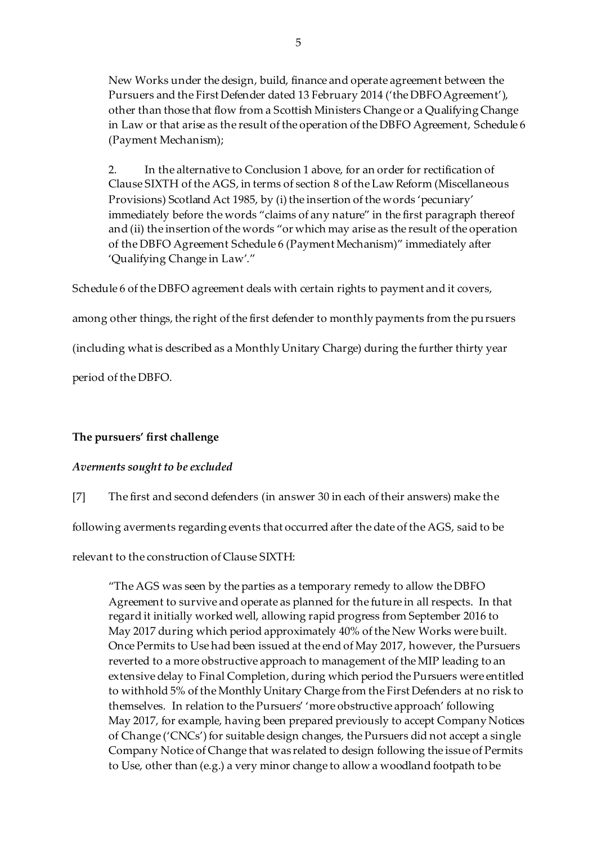New Works under the design, build, finance and operate agreement between the Pursuers and the First Defender dated 13 February 2014 ('the DBFO Agreement'), other than those that flow from a Scottish Ministers Change or a Qualifying Change in Law or that arise as the result of the operation of the DBFO Agreement, Schedule 6 (Payment Mechanism);

2. In the alternative to Conclusion 1 above, for an order for rectification of Clause SIXTH of the AGS, in terms of section 8 of the Law Reform (Miscellaneous Provisions) Scotland Act 1985, by (i) the insertion of the words 'pecuniary' immediately before the words "claims of any nature" in the first paragraph thereof and (ii) the insertion of the words "or which may arise as the result of the operation of the DBFO Agreement Schedule 6 (Payment Mechanism)" immediately after 'Qualifying Change in Law'."

Schedule 6 of the DBFO agreement deals with certain rights to payment and it covers,

among other things, the right of the first defender to monthly payments from the pursuers

(including what is described as a Monthly Unitary Charge) during the further thirty year

period of the DBFO.

# **The pursuers' first challenge**

# *Averments sought to be excluded*

[7] The first and second defenders (in answer 30 in each of their answers) make the

following averments regarding events that occurred after the date of the AGS, said to be

relevant to the construction of Clause SIXTH:

"The AGS was seen by the parties as a temporary remedy to allow the DBFO Agreement to survive and operate as planned for the future in all respects. In that regard it initially worked well, allowing rapid progress from September 2016 to May 2017 during which period approximately 40% of the New Works were built. Once Permits to Use had been issued at the end of May 2017, however, the Pursuers reverted to a more obstructive approach to management of the MIP leading to an extensive delay to Final Completion, during which period the Pursuers were entitled to withhold 5% of the Monthly Unitary Charge from the First Defenders at no risk to themselves. In relation to the Pursuers' 'more obstructive approach' following May 2017, for example, having been prepared previously to accept Company Notices of Change ('CNCs') for suitable design changes, the Pursuers did not accept a single Company Notice of Change that was related to design following the issue of Permits to Use, other than (e.g.) a very minor change to allow a woodland footpath to be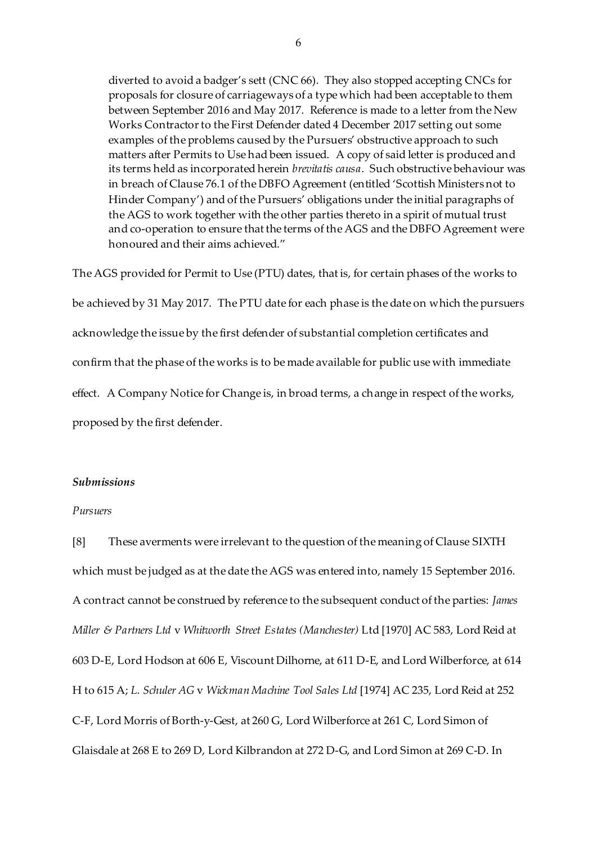diverted to avoid a badger's sett (CNC 66). They also stopped accepting CNCs for proposals for closure of carriageways of a type which had been acceptable to them between September 2016 and May 2017. Reference is made to a letter from the New Works Contractor to the First Defender dated 4 December 2017 setting out some examples of the problems caused by the Pursuers' obstructive approach to such matters after Permits to Use had been issued. A copy of said letter is produced and its terms held as incorporated herein *brevitatis causa*. Such obstructive behaviour was in breach of Clause 76.1 of the DBFO Agreement (entitled 'Scottish Ministers not to Hinder Company') and of the Pursuers' obligations under the initial paragraphs of the AGS to work together with the other parties thereto in a spirit of mutual trust and co-operation to ensure that the terms of the AGS and the DBFO Agreement were honoured and their aims achieved."

The AGS provided for Permit to Use (PTU) dates, that is, for certain phases of the works to be achieved by 31 May 2017. The PTU date for each phase is the date on which the pursuers acknowledge the issue by the first defender of substantial completion certificates and confirm that the phase of the works is to be made available for public use with immediate effect. A Company Notice for Change is, in broad terms, a change in respect of the works, proposed by the first defender.

### *Submissions*

### *Pursuers*

[8] These averments were irrelevant to the question of the meaning of Clause SIXTH which must be judged as at the date the AGS was entered into, namely 15 September 2016. A contract cannot be construed by reference to the subsequent conduct of the parties: *James Miller & Partners Ltd* v *Whitworth Street Estates (Manchester)* Ltd [1970] AC 583, Lord Reid at 603 D-E, Lord Hodson at 606 E, Viscount Dilhorne, at 611 D-E, and Lord Wilberforce, at 614 H to 615 A; *L. Schuler AG* v *Wickman Machine Tool Sales Ltd* [1974] AC 235, Lord Reid at 252 C-F, Lord Morris of Borth-y-Gest, at 260 G, Lord Wilberforce at 261 C, Lord Simon of Glaisdale at 268 E to 269 D, Lord Kilbrandon at 272 D-G, and Lord Simon at 269 C-D. In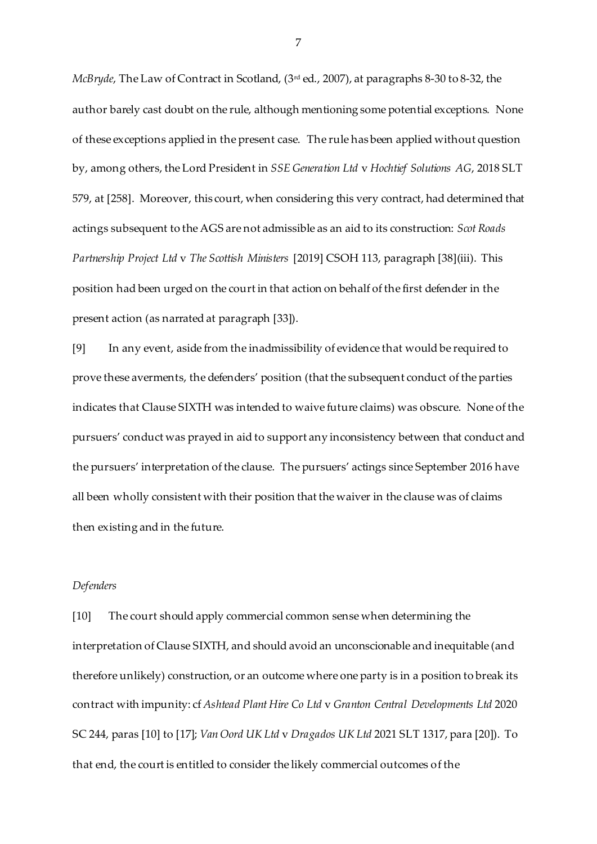*McBryde*, The Law of Contract in Scotland, (3rd ed., 2007), at paragraphs 8-30 to 8-32, the author barely cast doubt on the rule, although mentioning some potential exceptions. None of these exceptions applied in the present case. The rule has been applied without question by, among others, the Lord President in *SSE Generation Ltd* v *Hochtief Solutions AG*, 2018 SLT 579, at [258]. Moreover, this court, when considering this very contract, had determined that actings subsequent to the AGS are not admissible as an aid to its construction: *Scot Roads Partnership Project Ltd* v *The Scottish Ministers* [2019] CSOH 113, paragraph [38](iii). This position had been urged on the court in that action on behalf of the first defender in the present action (as narrated at paragraph [33]).

[9] In any event, aside from the inadmissibility of evidence that would be required to prove these averments, the defenders' position (that the subsequent conduct of the parties indicates that Clause SIXTH was intended to waive future claims) was obscure. None of the pursuers' conduct was prayed in aid to support any inconsistency between that conduct and the pursuers' interpretation of the clause. The pursuers' actings since September 2016 have all been wholly consistent with their position that the waiver in the clause was of claims then existing and in the future.

#### *Defenders*

[10] The court should apply commercial common sense when determining the interpretation of Clause SIXTH, and should avoid an unconscionable and inequitable (and therefore unlikely) construction, or an outcome where one party is in a position to break its contract with impunity: cf *Ashtead Plant Hire Co Ltd* v *Granton Central Developments Ltd* 2020 SC 244, paras [10] to [17]; *Van Oord UK Ltd* v *Dragados UK Ltd* 2021 SLT 1317, para [20]). To that end, the court is entitled to consider the likely commercial outcomes of the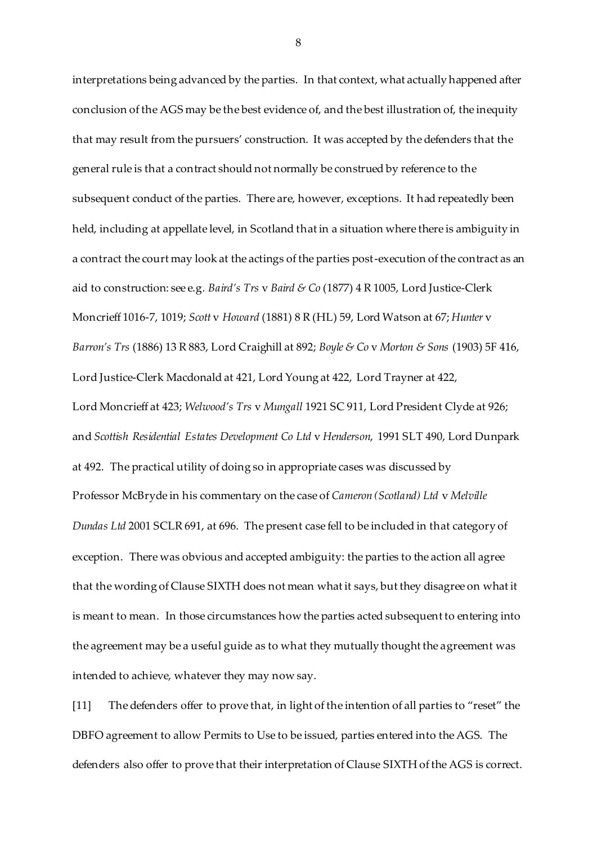interpretations being advanced by the parties. In that context, what actually happened after conclusion of the AGS may be the best evidence of, and the best illustration of, the inequity that may result from the pursuers' construction. It was accepted by the defenders that the general rule is that a contract should not normally be construed by reference to the subsequent conduct of the parties. There are, however, exceptions. It had repeatedly been held, including at appellate level, in Scotland that in a situation where there is ambiguity in a contract the court may look at the actings of the parties post-execution of the contract as an aid to construction: see e.g*. Baird's Trs* v *Baird & Co* (1877) 4 R 1005, Lord Justice-Clerk Moncrieff 1016-7, 1019; *Scott* v *Howard* (1881) 8 R (HL) 59, Lord Watson at 67; *Hunter* v *Barron's Trs* (1886) 13 R 883, Lord Craighill at 892; *Boyle & Co* v *Morton & Sons* (1903) 5F 416, Lord Justice-Clerk Macdonald at 421, Lord Young at 422, Lord Trayner at 422, Lord Moncrieff at 423; *Welwood's Trs* v *Mungall* 1921 SC 911, Lord President Clyde at 926; and *Scottish Residential Estates Development Co Ltd* v *Henderson*, 1991 SLT 490, Lord Dunpark at 492. The practical utility of doing so in appropriate cases was discussed by Professor McBryde in his commentary on the case of *Cameron (Scotland) Ltd* v *Melville Dundas Ltd* 2001 SCLR 691, at 696. The present case fell to be included in that category of exception. There was obvious and accepted ambiguity: the parties to the action all agree that the wording of Clause SIXTH does not mean what it says, but they disagree on what it is meant to mean. In those circumstances how the parties acted subsequent to entering into the agreement may be a useful guide as to what they mutually thought the agreement was intended to achieve, whatever they may now say.

[11] The defenders offer to prove that, in light of the intention of all parties to "reset" the DBFO agreement to allow Permits to Use to be issued, parties entered into the AGS. The defenders also offer to prove that their interpretation of Clause SIXTH of the AGS is correct.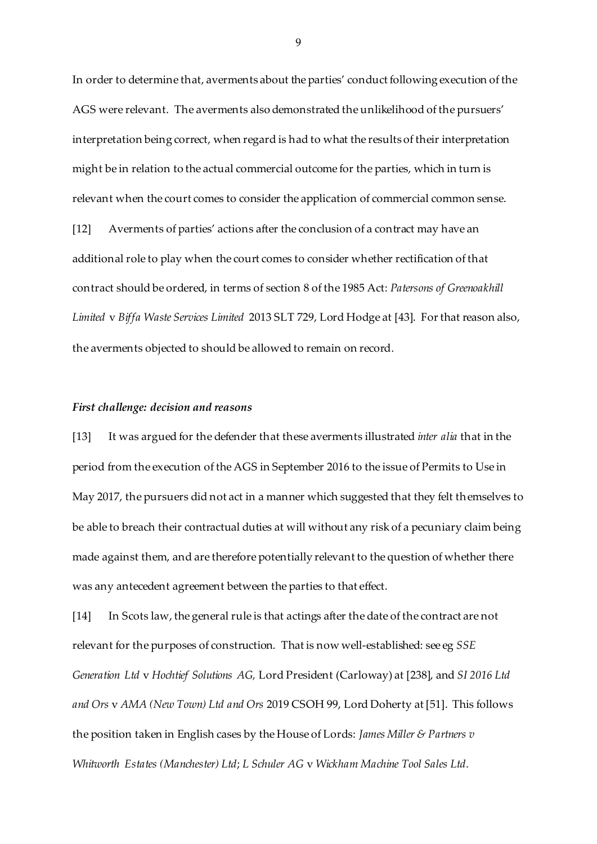In order to determine that, averments about the parties' conduct following execution of the AGS were relevant. The averments also demonstrated the unlikelihood of the pursuers' interpretation being correct, when regard is had to what the results of their interpretation might be in relation to the actual commercial outcome for the parties, which in turn is relevant when the court comes to consider the application of commercial common sense. [12] Averments of parties' actions after the conclusion of a contract may have an additional role to play when the court comes to consider whether rectification of that contract should be ordered, in terms of section 8 of the 1985 Act: *Patersons of Greenoakhill Limited* v *Biffa Waste Services Limited* 2013 SLT 729, Lord Hodge at [43]. For that reason also, the averments objected to should be allowed to remain on record.

#### *First challenge: decision and reasons*

[13] It was argued for the defender that these averments illustrated *inter alia* that in the period from the execution of the AGS in September 2016 to the issue of Permits to Use in May 2017, the pursuers did not act in a manner which suggested that they felt themselves to be able to breach their contractual duties at will without any risk of a pecuniary claim being made against them, and are therefore potentially relevant to the question of whether there was any antecedent agreement between the parties to that effect.

[14] In Scots law, the general rule is that actings after the date of the contract are not relevant for the purposes of construction. That is now well-established: see eg *SSE Generation Ltd* v *Hochtief Solutions AG,* Lord President (Carloway) at [238], and *SI 2016 Ltd and Ors* v *AMA (New Town) Ltd and Ors* 2019 CSOH 99, Lord Doherty at [51]. This follows the position taken in English cases by the House of Lords: *James Miller & Partners v Whitworth Estates (Manchester) Ltd*; *L Schuler AG* v *Wickham Machine Tool Sales Ltd*.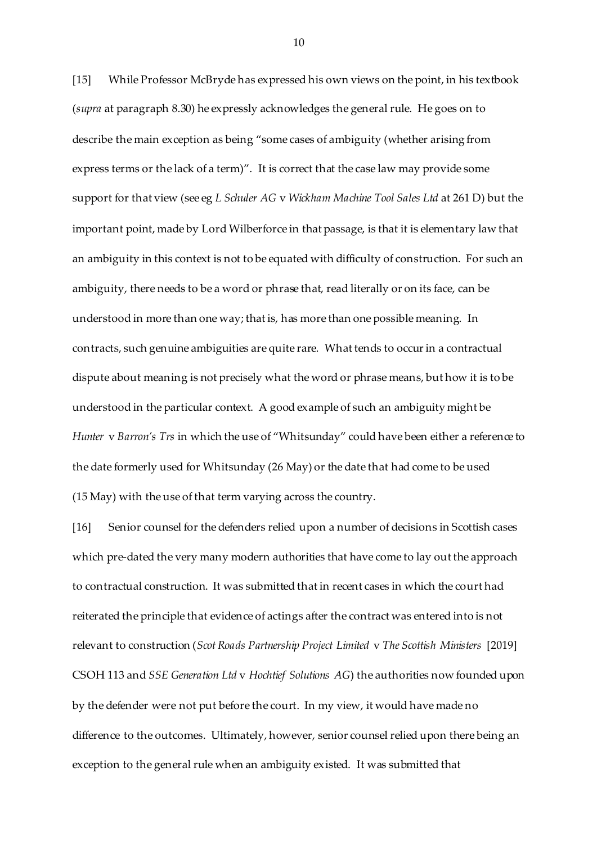[15] While Professor McBryde has expressed his own views on the point, in his textbook (*supra* at paragraph 8.30) he expressly acknowledges the general rule. He goes on to describe the main exception as being "some cases of ambiguity (whether arising from express terms or the lack of a term)". It is correct that the case law may provide some support for that view (see eg *L Schuler AG* v *Wickham Machine Tool Sales Ltd* at 261 D) but the important point, made by Lord Wilberforce in that passage, is that it is elementary law that an ambiguity in this context is not to be equated with difficulty of construction. For such an ambiguity, there needs to be a word or phrase that, read literally or on its face, can be understood in more than one way; that is, has more than one possible meaning. In contracts, such genuine ambiguities are quite rare. What tends to occur in a contractual dispute about meaning is not precisely what the word or phrase means, but how it is to be understood in the particular context. A good example of such an ambiguity might be *Hunter* v *Barron's Trs* in which the use of "Whitsunday" could have been either a reference to the date formerly used for Whitsunday (26 May) or the date that had come to be used (15 May) with the use of that term varying across the country.

[16] Senior counsel for the defenders relied upon a number of decisions in Scottish cases which pre-dated the very many modern authorities that have come to lay out the approach to contractual construction. It was submitted that in recent cases in which the court had reiterated the principle that evidence of actings after the contract was entered into is not relevant to construction (*Scot Roads Partnership Project Limited* v *The Scottish Ministers* [2019] CSOH 113 and *SSE Generation Ltd* v *Hochtief Solutions AG*) the authorities now founded upon by the defender were not put before the court. In my view, it would have made no difference to the outcomes. Ultimately, however, senior counsel relied upon there being an exception to the general rule when an ambiguity existed. It was submitted that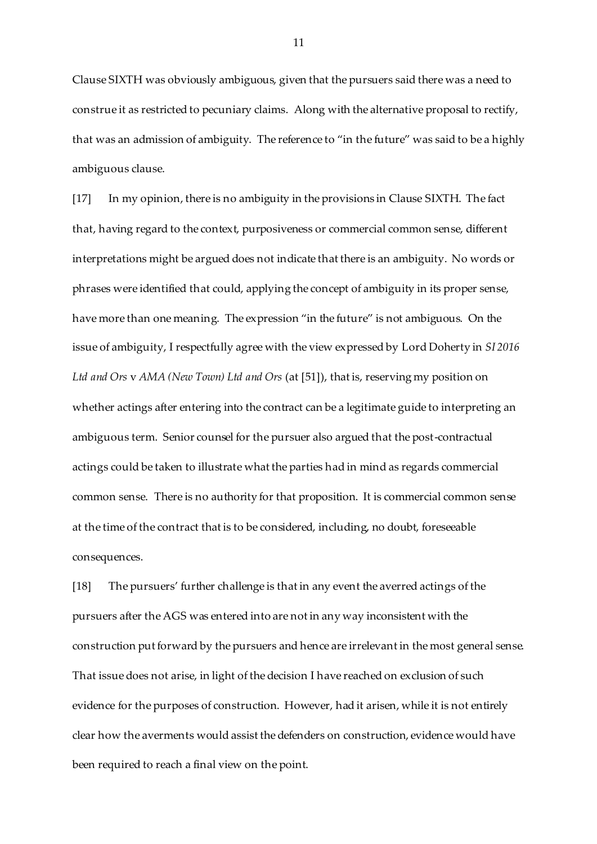Clause SIXTH was obviously ambiguous, given that the pursuers said there was a need to construe it as restricted to pecuniary claims. Along with the alternative proposal to rectify, that was an admission of ambiguity. The reference to "in the future" was said to be a highly ambiguous clause.

[17] In my opinion, there is no ambiguity in the provisions in Clause SIXTH. The fact that, having regard to the context, purposiveness or commercial common sense, different interpretations might be argued does not indicate that there is an ambiguity. No words or phrases were identified that could, applying the concept of ambiguity in its proper sense, have more than one meaning. The expression "in the future" is not ambiguous. On the issue of ambiguity, I respectfully agree with the view expressed by Lord Doherty in *SI 2016 Ltd and Ors* v *AMA (New Town) Ltd and Ors* (at [51]), that is, reserving my position on whether actings after entering into the contract can be a legitimate guide to interpreting an ambiguous term. Senior counsel for the pursuer also argued that the post-contractual actings could be taken to illustrate what the parties had in mind as regards commercial common sense. There is no authority for that proposition. It is commercial common sense at the time of the contract that is to be considered, including, no doubt, foreseeable consequences.

[18] The pursuers' further challenge is that in any event the averred actings of the pursuers after the AGS was entered into are not in any way inconsistent with the construction put forward by the pursuers and hence are irrelevant in the most general sense. That issue does not arise, in light of the decision I have reached on exclusion of such evidence for the purposes of construction. However, had it arisen, while it is not entirely clear how the averments would assist the defenders on construction, evidence would have been required to reach a final view on the point.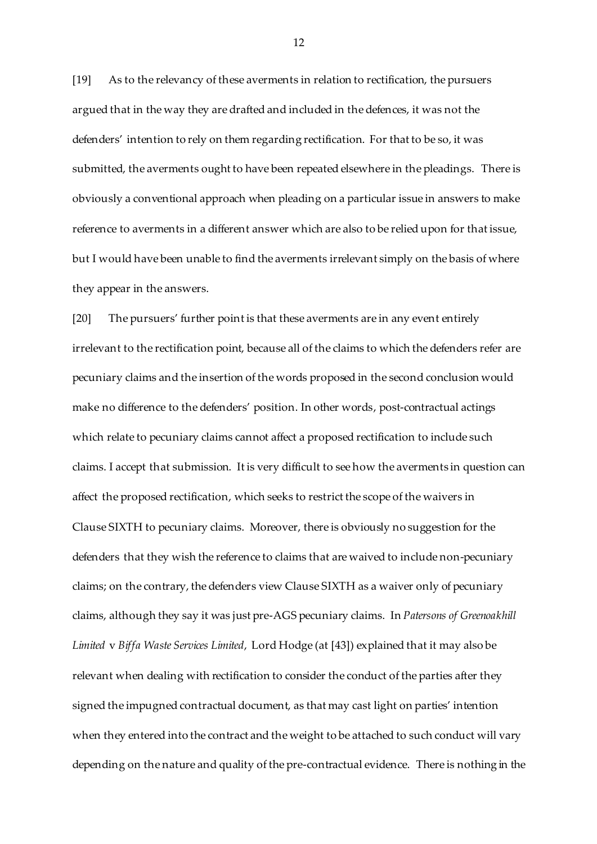[19] As to the relevancy of these averments in relation to rectification, the pursuers argued that in the way they are drafted and included in the defences, it was not the defenders' intention to rely on them regarding rectification. For that to be so, it was submitted, the averments ought to have been repeated elsewhere in the pleadings. There is obviously a conventional approach when pleading on a particular issue in answers to make reference to averments in a different answer which are also to be relied upon for that issue, but I would have been unable to find the averments irrelevant simply on the basis of where they appear in the answers.

[20] The pursuers' further point is that these averments are in any event entirely irrelevant to the rectification point, because all of the claims to which the defenders refer are pecuniary claims and the insertion of the words proposed in the second conclusion would make no difference to the defenders' position. In other words, post-contractual actings which relate to pecuniary claims cannot affect a proposed rectification to include such claims. I accept that submission. It is very difficult to see how the averments in question can affect the proposed rectification, which seeks to restrict the scope of the waivers in Clause SIXTH to pecuniary claims. Moreover, there is obviously no suggestion for the defenders that they wish the reference to claims that are waived to include non-pecuniary claims; on the contrary, the defenders view Clause SIXTH as a waiver only of pecuniary claims, although they say it was just pre-AGS pecuniary claims. In *Patersons of Greenoakhill Limited* v *Biffa Waste Services Limited*, Lord Hodge (at [43]) explained that it may also be relevant when dealing with rectification to consider the conduct of the parties after they signed the impugned contractual document, as that may cast light on parties' intention when they entered into the contract and the weight to be attached to such conduct will vary depending on the nature and quality of the pre-contractual evidence. There is nothing in the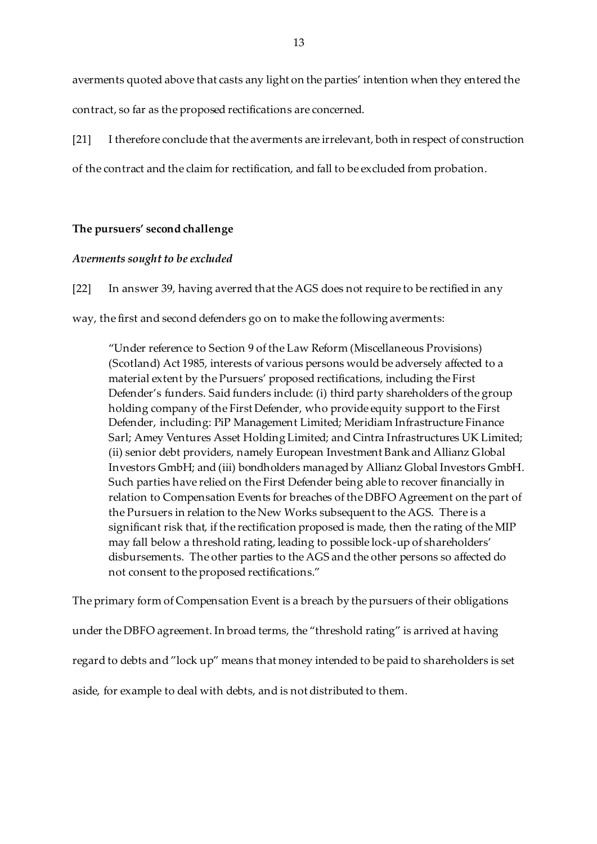averments quoted above that casts any light on the parties' intention when they entered the contract, so far as the proposed rectifications are concerned.

[21] I therefore conclude that the averments are irrelevant, both in respect of construction of the contract and the claim for rectification, and fall to be excluded from probation.

# **The pursuers' second challenge**

### *Averments sought to be excluded*

[22] In answer 39, having averred that the AGS does not require to be rectified in any

way, the first and second defenders go on to make the following averments:

"Under reference to Section 9 of the Law Reform (Miscellaneous Provisions) (Scotland) Act 1985, interests of various persons would be adversely affected to a material extent by the Pursuers' proposed rectifications, including the First Defender's funders. Said funders include: (i) third party shareholders of the group holding company of the First Defender, who provide equity support to the First Defender, including: PiP Management Limited; Meridiam Infrastructure Finance Sarl; Amey Ventures Asset Holding Limited; and Cintra Infrastructures UK Limited; (ii) senior debt providers, namely European Investment Bank and Allianz Global Investors GmbH; and (iii) bondholders managed by Allianz Global Investors GmbH. Such parties have relied on the First Defender being able to recover financially in relation to Compensation Events for breaches of the DBFO Agreement on the part of the Pursuers in relation to the New Works subsequent to the AGS. There is a significant risk that, if the rectification proposed is made, then the rating of the MIP may fall below a threshold rating, leading to possible lock-up of shareholders' disbursements. The other parties to the AGS and the other persons so affected do not consent to the proposed rectifications."

The primary form of Compensation Event is a breach by the pursuers of their obligations under the DBFO agreement. In broad terms, the "threshold rating" is arrived at having regard to debts and "lock up" means that money intended to be paid to shareholders is set aside, for example to deal with debts, and is not distributed to them.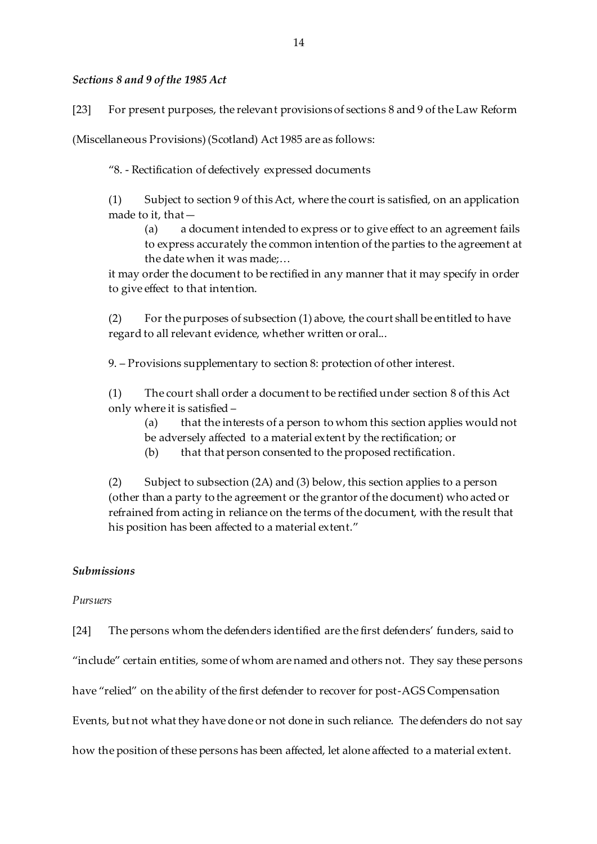## *Sections 8 and 9 of the 1985 Act*

[23] For present purposes, the relevant provisions of sections 8 and 9 of the Law Reform

(Miscellaneous Provisions) (Scotland) Act 1985 are as follows:

"8. - Rectification of defectively expressed documents

(1) Subject to section 9 of this Act, where the court is satisfied, on an application made to it, that—

(a) a document intended to express or to give effect to an agreement fails to express accurately the common intention of the parties to the agreement at the date when it was made;…

it may order the document to be rectified in any manner that it may specify in order to give effect to that intention.

(2) For the purposes of subsection (1) above, the court shall be entitled to have regard to all relevant evidence, whether written or oral...

9. – Provisions supplementary to section 8: protection of other interest.

(1) The court shall order a document to be rectified under section 8 of this Act only where it is satisfied –

(a) that the interests of a person to whom this section applies would not be adversely affected to a material extent by the rectification; or

(b) that that person consented to the proposed rectification.

(2) Subject to subsection (2A) and (3) below, this section applies to a person (other than a party to the agreement or the grantor of the document) who acted or refrained from acting in reliance on the terms of the document, with the result that his position has been affected to a material extent."

### *Submissions*

### *Pursuers*

[24] The persons whom the defenders identified are the first defenders' funders, said to

"include" certain entities, some of whom are named and others not. They say these persons

have "relied" on the ability of the first defender to recover for post-AGS Compensation

Events, but not what they have done or not done in such reliance. The defenders do not say

how the position of these persons has been affected, let alone affected to a material extent.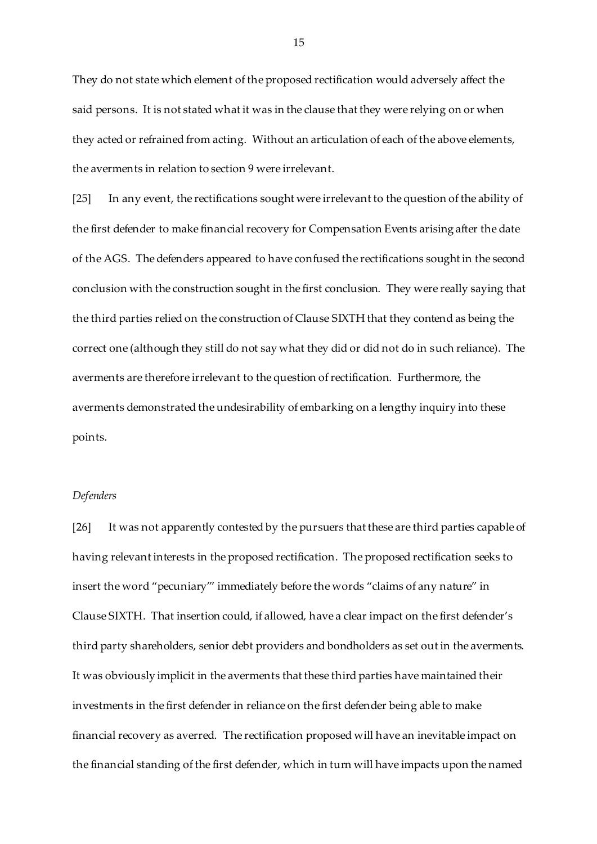They do not state which element of the proposed rectification would adversely affect the said persons. It is not stated what it was in the clause that they were relying on or when they acted or refrained from acting. Without an articulation of each of the above elements, the averments in relation to section 9 were irrelevant.

[25] In any event, the rectifications sought were irrelevant to the question of the ability of the first defender to make financial recovery for Compensation Events arising after the date of the AGS. The defenders appeared to have confused the rectifications sought in the second conclusion with the construction sought in the first conclusion. They were really saying that the third parties relied on the construction of Clause SIXTH that they contend as being the correct one (although they still do not say what they did or did not do in such reliance). The averments are therefore irrelevant to the question of rectification. Furthermore, the averments demonstrated the undesirability of embarking on a lengthy inquiry into these points.

### *Defenders*

[26] It was not apparently contested by the pursuers that these are third parties capable of having relevant interests in the proposed rectification. The proposed rectification seeks to insert the word "pecuniary"' immediately before the words "claims of any nature" in Clause SIXTH. That insertion could, if allowed, have a clear impact on the first defender's third party shareholders, senior debt providers and bondholders as set out in the averments. It was obviously implicit in the averments that these third parties have maintained their investments in the first defender in reliance on the first defender being able to make financial recovery as averred. The rectification proposed will have an inevitable impact on the financial standing of the first defender, which in turn will have impacts upon the named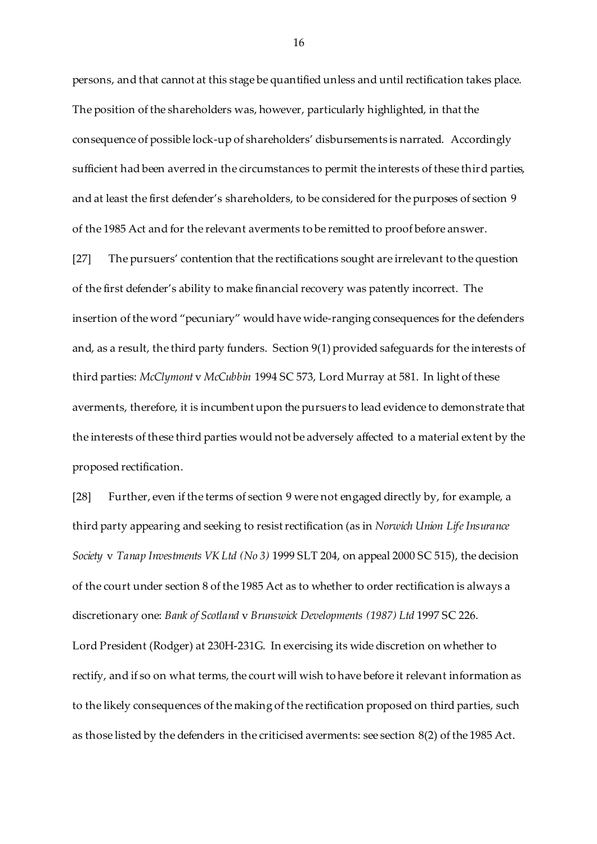persons, and that cannot at this stage be quantified unless and until rectification takes place. The position of the shareholders was, however, particularly highlighted, in that the consequence of possible lock-up of shareholders' disbursements is narrated. Accordingly sufficient had been averred in the circumstances to permit the interests of these third parties, and at least the first defender's shareholders, to be considered for the purposes of section 9 of the 1985 Act and for the relevant averments to be remitted to proof before answer.

[27] The pursuers' contention that the rectifications sought are irrelevant to the question of the first defender's ability to make financial recovery was patently incorrect. The insertion of the word "pecuniary" would have wide-ranging consequences for the defenders and, as a result, the third party funders. Section 9(1) provided safeguards for the interests of third parties: *McClymont* v *McCubbin* 1994 SC 573, Lord Murray at 581. In light of these averments, therefore, it is incumbent upon the pursuers to lead evidence to demonstrate that the interests of these third parties would not be adversely affected to a material extent by the proposed rectification.

[28] Further, even if the terms of section 9 were not engaged directly by, for example, a third party appearing and seeking to resist rectification (as in *Norwich Union Life Insurance Society* v *Tanap Investments VK Ltd (No 3)* 1999 SLT 204, on appeal 2000 SC 515), the decision of the court under section 8 of the 1985 Act as to whether to order rectification is always a discretionary one: *Bank of Scotland* v *Brunswick Developments (1987) Ltd* 1997 SC 226. Lord President (Rodger) at 230H-231G. In exercising its wide discretion on whether to rectify, and if so on what terms, the court will wish to have before it relevant information as to the likely consequences of the making of the rectification proposed on third parties, such as those listed by the defenders in the criticised averments: see section 8(2) of the 1985 Act.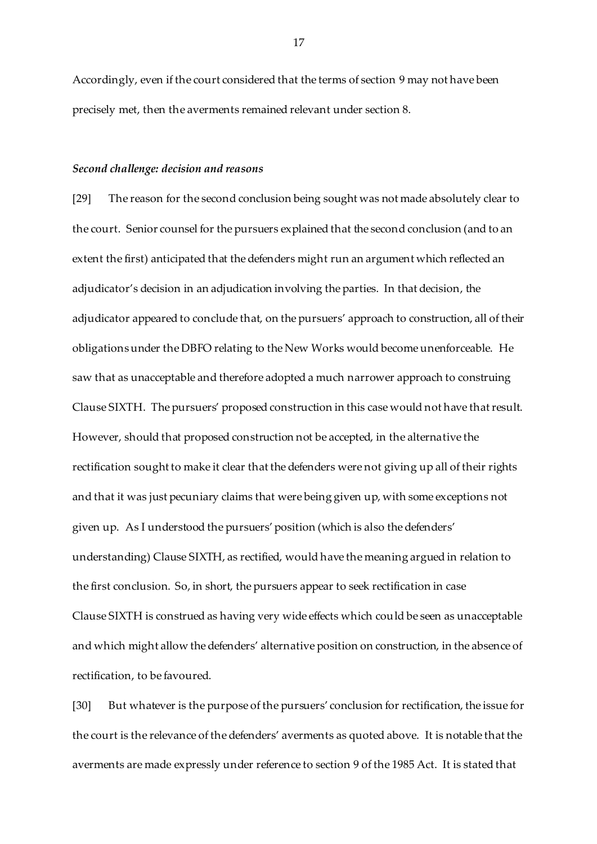Accordingly, even if the court considered that the terms of section 9 may not have been precisely met, then the averments remained relevant under section 8.

#### *Second challenge: decision and reasons*

[29] The reason for the second conclusion being sought was not made absolutely clear to the court. Senior counsel for the pursuers explained that the second conclusion (and to an extent the first) anticipated that the defenders might run an argument which reflected an adjudicator's decision in an adjudication involving the parties. In that decision, the adjudicator appeared to conclude that, on the pursuers' approach to construction, all of their obligations under the DBFO relating to the New Works would become unenforceable. He saw that as unacceptable and therefore adopted a much narrower approach to construing Clause SIXTH. The pursuers' proposed construction in this case would not have that result. However, should that proposed construction not be accepted, in the alternative the rectification sought to make it clear that the defenders were not giving up all of their rights and that it was just pecuniary claims that were being given up, with some exceptions not given up. As I understood the pursuers' position (which is also the defenders' understanding) Clause SIXTH, as rectified, would have the meaning argued in relation to the first conclusion. So, in short, the pursuers appear to seek rectification in case Clause SIXTH is construed as having very wide effects which could be seen as unacceptable and which might allow the defenders' alternative position on construction, in the absence of rectification, to be favoured.

[30] But whatever is the purpose of the pursuers' conclusion for rectification, the issue for the court is the relevance of the defenders' averments as quoted above. It is notable that the averments are made expressly under reference to section 9 of the 1985 Act. It is stated that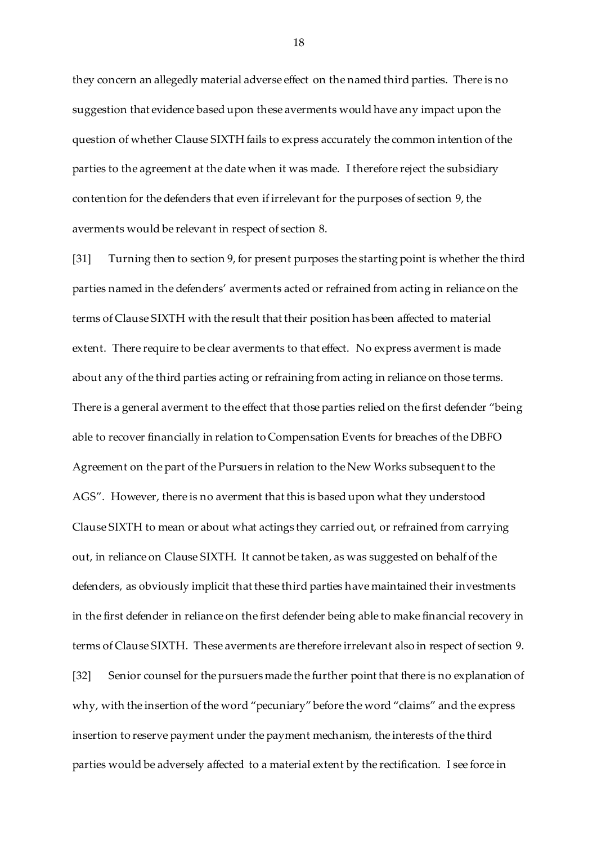they concern an allegedly material adverse effect on the named third parties. There is no suggestion that evidence based upon these averments would have any impact upon the question of whether Clause SIXTH fails to express accurately the common intention of the parties to the agreement at the date when it was made. I therefore reject the subsidiary contention for the defenders that even if irrelevant for the purposes of section 9, the averments would be relevant in respect of section 8.

[31] Turning then to section 9, for present purposes the starting point is whether the third parties named in the defenders' averments acted or refrained from acting in reliance on the terms of Clause SIXTH with the result that their position has been affected to material extent. There require to be clear averments to that effect. No express averment is made about any of the third parties acting or refraining from acting in reliance on those terms. There is a general averment to the effect that those parties relied on the first defender "being able to recover financially in relation to Compensation Events for breaches of the DBFO Agreement on the part of the Pursuers in relation to the New Works subsequent to the AGS". However, there is no averment that this is based upon what they understood Clause SIXTH to mean or about what actings they carried out, or refrained from carrying out, in reliance on Clause SIXTH. It cannot be taken, as was suggested on behalf of the defenders, as obviously implicit that these third parties have maintained their investments in the first defender in reliance on the first defender being able to make financial recovery in terms of Clause SIXTH. These averments are therefore irrelevant also in respect of section 9. [32] Senior counsel for the pursuers made the further point that there is no explanation of why, with the insertion of the word "pecuniary" before the word "claims" and the express insertion to reserve payment under the payment mechanism, the interests of the third parties would be adversely affected to a material extent by the rectification. I see force in